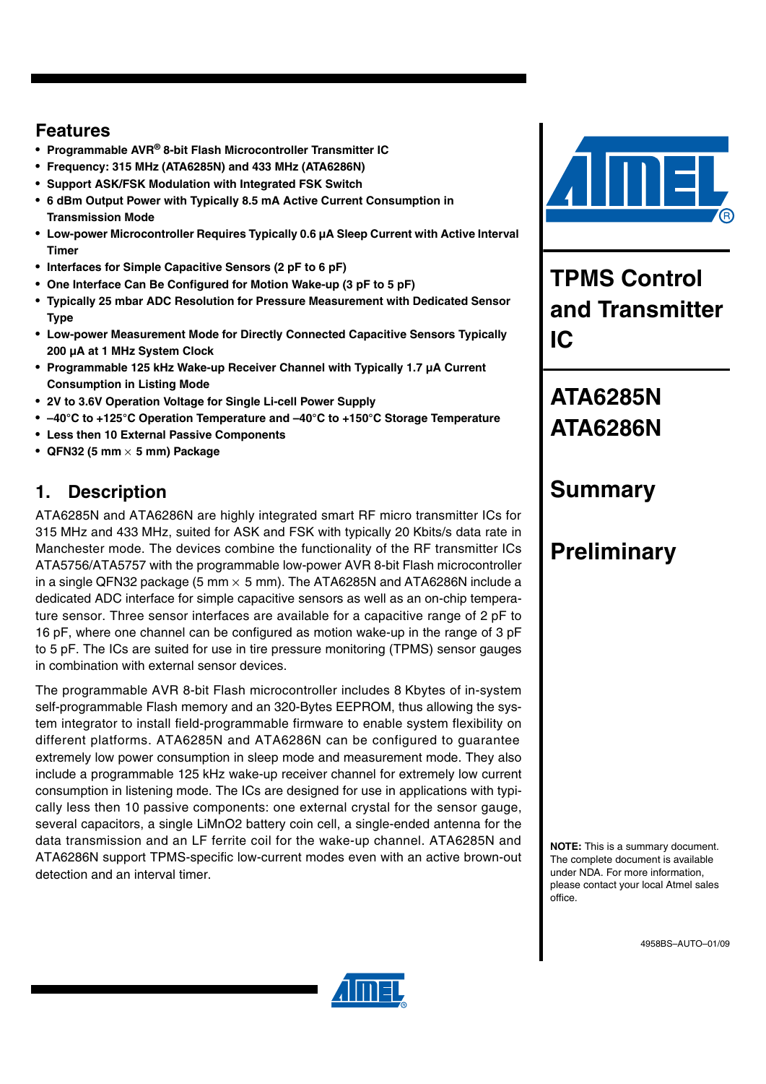### **Features**

- **Programmable AVR® 8-bit Flash Microcontroller Transmitter IC**
- **Frequency: 315 MHz (ATA6285N) and 433 MHz (ATA6286N)**
- **Support ASK/FSK Modulation with Integrated FSK Switch**
- **6 dBm Output Power with Typically 8.5 mA Active Current Consumption in Transmission Mode**
- **Low-power Microcontroller Requires Typically 0.6 µA Sleep Current with Active Interval Timer**
- **Interfaces for Simple Capacitive Sensors (2 pF to 6 pF)**
- **One Interface Can Be Configured for Motion Wake-up (3 pF to 5 pF)**
- **Typically 25 mbar ADC Resolution for Pressure Measurement with Dedicated Sensor Type**
- **Low-power Measurement Mode for Directly Connected Capacitive Sensors Typically 200 µA at 1 MHz System Clock**
- **Programmable 125 kHz Wake-up Receiver Channel with Typically 1.7 µA Current Consumption in Listing Mode**
- **2V to 3.6V Operation Voltage for Single Li-cell Power Supply**
- **–40°C to +125°C Operation Temperature and –40°C to +150°C Storage Temperature**
- **Less then 10 External Passive Components**
- **QFN32 (5 mm** × **5 mm) Package**

### **1. Description**

ATA6285N and ATA6286N are highly integrated smart RF micro transmitter ICs for 315 MHz and 433 MHz, suited for ASK and FSK with typically 20 Kbits/s data rate in Manchester mode. The devices combine the functionality of the RF transmitter ICs ATA5756/ATA5757 with the programmable low-power AVR 8-bit Flash microcontroller in a single QFN32 package (5 mm  $\times$  5 mm). The ATA6285N and ATA6286N include a dedicated ADC interface for simple capacitive sensors as well as an on-chip temperature sensor. Three sensor interfaces are available for a capacitive range of 2 pF to 16 pF, where one channel can be configured as motion wake-up in the range of 3 pF to 5 pF. The ICs are suited for use in tire pressure monitoring (TPMS) sensor gauges in combination with external sensor devices.

The programmable AVR 8-bit Flash microcontroller includes 8 Kbytes of in-system self-programmable Flash memory and an 320-Bytes EEPROM, thus allowing the system integrator to install field-programmable firmware to enable system flexibility on different platforms. ATA6285N and ATA6286N can be configured to guarantee extremely low power consumption in sleep mode and measurement mode. They also include a programmable 125 kHz wake-up receiver channel for extremely low current consumption in listening mode. The ICs are designed for use in applications with typically less then 10 passive components: one external crystal for the sensor gauge, several capacitors, a single LiMnO2 battery coin cell, a single-ended antenna for the data transmission and an LF ferrite coil for the wake-up channel. ATA6285N and ATA6286N support TPMS-specific low-current modes even with an active brown-out detection and an interval timer.



**TPMS Control and Transmitter IC**

# **ATA6285N ATA6286N**

# **Summary**

# **Preliminary**

**NOTE:** This is a summary document. The complete document is available under NDA. For more information, please contact your local Atmel sales office.

4958BS–AUTO–01/09

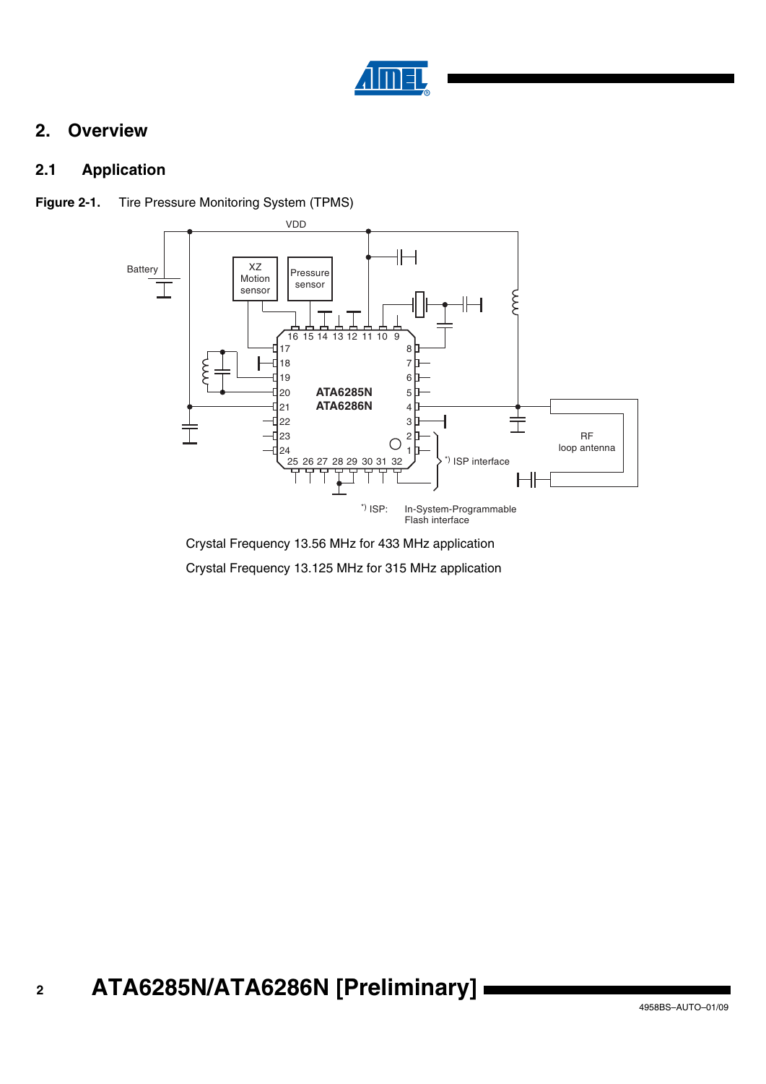

### **2. Overview**

### **2.1 Application**



**Figure 2-1.** Tire Pressure Monitoring System (TPMS)

Crystal Frequency 13.56 MHz for 433 MHz application Crystal Frequency 13.125 MHz for 315 MHz application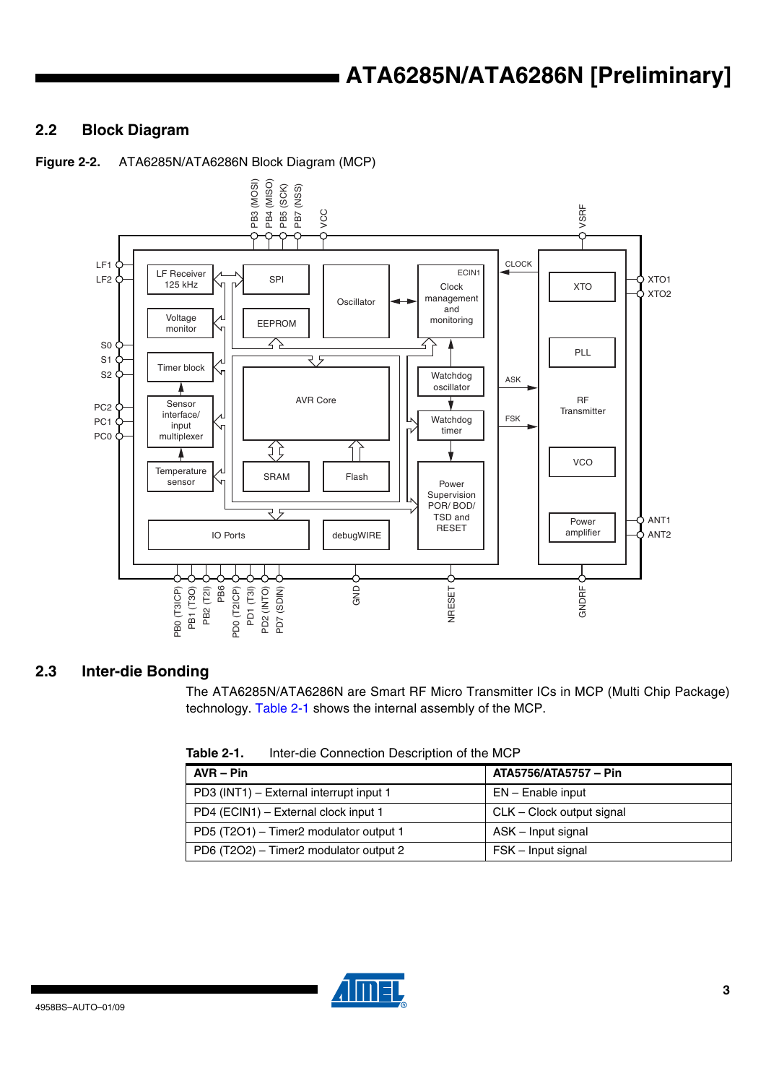### **2.2 Block Diagram**



**Figure 2-2.** ATA6285N/ATA6286N Block Diagram (MCP)

#### **2.3 Inter-die Bonding**

The ATA6285N/ATA6286N are Smart RF Micro Transmitter ICs in MCP (Multi Chip Package)

<span id="page-2-0"></span>**Table 2-1.** Inter-die Connection Description of the MCP

| $AVR - Pin$                             | ATA5756/ATA5757 - Pin     |
|-----------------------------------------|---------------------------|
| PD3 (INT1) – External interrupt input 1 | $EN - E$ nable input      |
| PD4 (ECIN1) – External clock input 1    | CLK – Clock output signal |
| PD5 (T2O1) - Timer2 modulator output 1  | ASK - Input signal        |
| PD6 (T2O2) - Timer2 modulator output 2  | FSK - Input signal        |

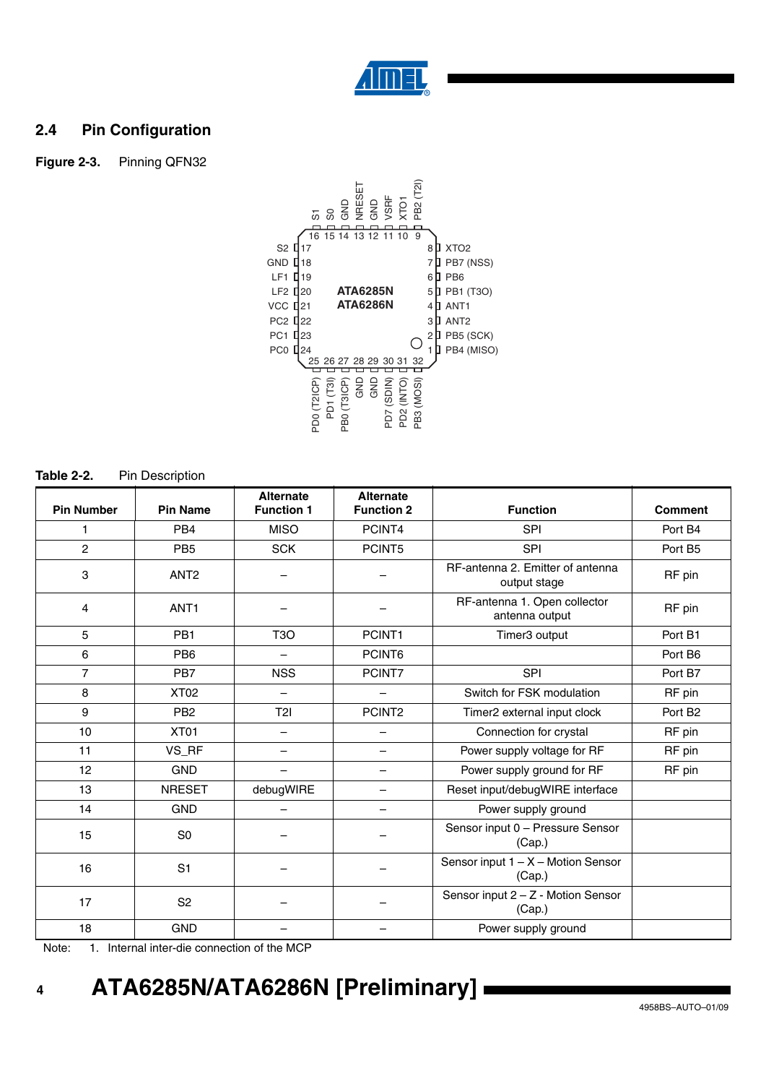

### **2.4 Pin Configuration**

**Figure 2-3.** Pinning QFN32



**Table 2-2.** Pin Description

| <b>Pin Number</b> | <b>Pin Name</b>  | <b>Alternate</b><br><b>Function 1</b> | <b>Alternate</b><br><b>Function 2</b> | <b>Function</b>                                    | <b>Comment</b> |
|-------------------|------------------|---------------------------------------|---------------------------------------|----------------------------------------------------|----------------|
|                   | PB <sub>4</sub>  | <b>MISO</b>                           | PCINT4                                | <b>SPI</b>                                         | Port B4        |
| $\overline{2}$    | PB <sub>5</sub>  | <b>SCK</b>                            | PCINT5                                | <b>SPI</b>                                         | Port B5        |
| 3                 | ANT <sub>2</sub> |                                       |                                       | RF-antenna 2. Emitter of antenna<br>output stage   | RF pin         |
| 4                 | ANT <sub>1</sub> |                                       |                                       | RF-antenna 1. Open collector<br>antenna output     | RF pin         |
| 5                 | PB <sub>1</sub>  | T <sub>3</sub> O                      | PCINT1                                | Timer3 output                                      | Port B1        |
| 6                 | PB <sub>6</sub>  |                                       | PCINT6                                | Port B6                                            |                |
| $\overline{7}$    | PB7              | <b>NSS</b>                            | PCINT7                                | SPI<br>Port B7                                     |                |
| 8                 | <b>XT02</b>      | $\overline{\phantom{m}}$              | $\overline{\phantom{0}}$              | Switch for FSK modulation<br>RF pin                |                |
| 9                 | PB <sub>2</sub>  | T2I                                   | PCINT2                                | Port B <sub>2</sub><br>Timer2 external input clock |                |
| 10                | XT01             | $\overline{\phantom{m}}$              | —                                     | Connection for crystal                             | RF pin         |
| 11                | VS_RF            |                                       | $\overline{\phantom{0}}$              | Power supply voltage for RF                        |                |
| 12                | <b>GND</b>       |                                       | $\overline{\phantom{0}}$              | Power supply ground for RF<br>RF pin               |                |
| 13                | <b>NRESET</b>    | debugWIRE                             | —                                     | Reset input/debugWIRE interface                    |                |
| 14                | <b>GND</b>       |                                       | -                                     | Power supply ground                                |                |
| 15                | S <sub>0</sub>   |                                       |                                       | Sensor input 0 - Pressure Sensor<br>(Cap.)         |                |
| 16                | S <sub>1</sub>   |                                       |                                       | Sensor input $1 - X -$ Motion Sensor<br>(Cap.)     |                |
| 17                | S <sub>2</sub>   |                                       |                                       | Sensor input 2 - Z - Motion Sensor<br>(Cap.)       |                |
| 18                | <b>GND</b>       |                                       |                                       | Power supply ground                                |                |

Note: 1. Internal inter-die connection of the MCP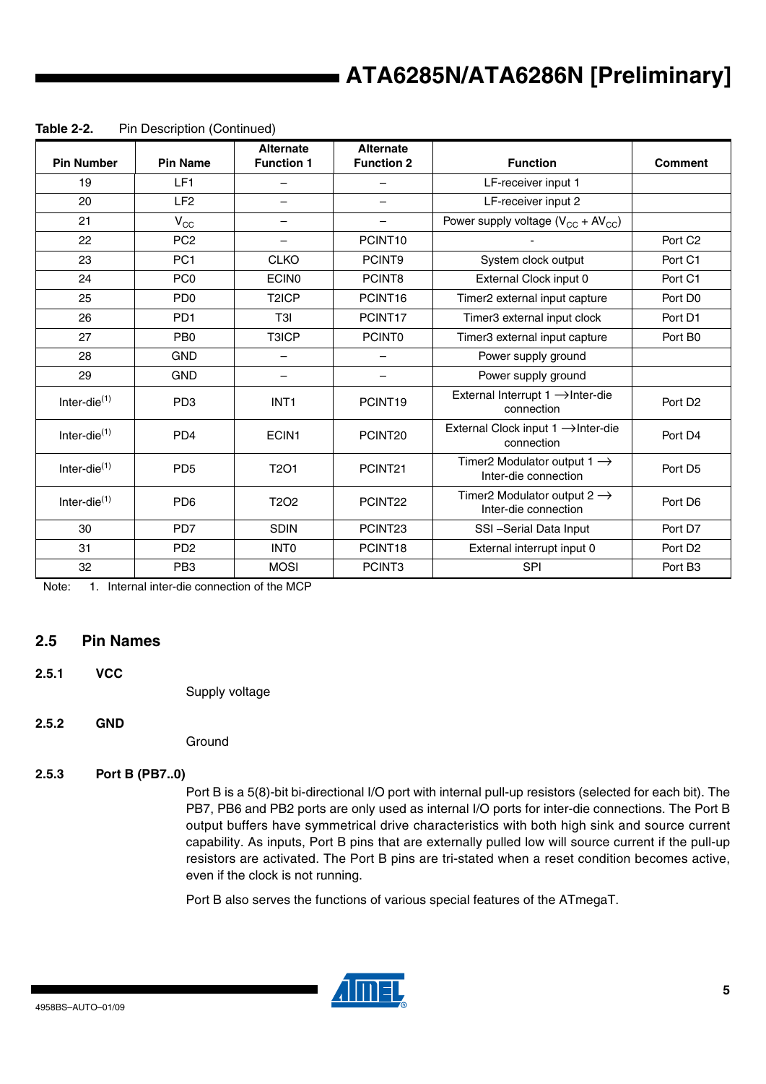| <b>Pin Number</b> | <b>Pin Name</b>             | <b>Alternate</b><br><b>Function 1</b> | <b>Alternate</b><br><b>Function 2</b> | <b>Function</b>                                                                        | <b>Comment</b>      |
|-------------------|-----------------------------|---------------------------------------|---------------------------------------|----------------------------------------------------------------------------------------|---------------------|
| 19                | LF1                         |                                       |                                       | LF-receiver input 1                                                                    |                     |
| 20                | LF <sub>2</sub>             |                                       |                                       | LF-receiver input 2                                                                    |                     |
| 21                | $V_{\rm CC}$                | $\overline{\phantom{m}}$              | —                                     | Power supply voltage $(V_{CC} + AV_{CC})$                                              |                     |
| 22                | PC <sub>2</sub>             |                                       | PCINT <sub>10</sub>                   |                                                                                        | Port C <sub>2</sub> |
| 23                | PC <sub>1</sub>             | <b>CLKO</b>                           | PCINT9                                | System clock output                                                                    | Port C1             |
| 24                | PC <sub>0</sub>             | <b>ECINO</b>                          | PCINT8                                | External Clock input 0                                                                 | Port C1             |
| 25                | PD <sub>0</sub>             | T <sub>2</sub> ICP                    | PCINT16                               | Timer2 external input capture                                                          | Port D0             |
| 26                | PD <sub>1</sub>             | T <sub>3</sub> I                      | PCINT17                               | Timer3 external input clock                                                            | Port D1             |
| 27                | P <sub>B</sub>              | T3ICP                                 | <b>PCINTO</b>                         | Timer3 external input capture                                                          | Port B0             |
| 28                | <b>GND</b>                  |                                       |                                       | Power supply ground                                                                    |                     |
| 29                | <b>GND</b>                  |                                       | $\overline{\phantom{0}}$              | Power supply ground                                                                    |                     |
| Inter-die $(1)$   | PD <sub>3</sub>             | INT <sub>1</sub>                      | PCINT <sub>19</sub>                   | External Interrupt 1 → Inter-die<br>connection                                         | Port D <sub>2</sub> |
| Inter-die $(1)$   | P <sub>D</sub> <sub>4</sub> | ECIN1                                 | PCINT <sub>20</sub>                   | External Clock input 1 → Inter-die<br>connection                                       | Port D4             |
| Inter-die $(1)$   | PD <sub>5</sub>             | T <sub>2</sub> O <sub>1</sub>         | PCINT21                               | Timer2 Modulator output 1 $\rightarrow$<br>Port D <sub>5</sub><br>Inter-die connection |                     |
| Inter-die $(1)$   | P <sub>D6</sub>             | T <sub>2</sub> O <sub>2</sub>         | PCINT22                               | Timer2 Modulator output 2 $\rightarrow$<br>Port D6<br>Inter-die connection             |                     |
| 30                | PD7                         | <b>SDIN</b>                           | PCINT23<br>SSI-Serial Data Input      |                                                                                        | Port D7             |
| 31                | P <sub>D</sub> <sub>2</sub> | <b>INTO</b>                           | PCINT18                               | External interrupt input 0                                                             | Port D <sub>2</sub> |
| 32                | PB <sub>3</sub>             | <b>MOSI</b>                           | PCINT <sub>3</sub><br>SPI             |                                                                                        | Port B <sub>3</sub> |

**Table 2-2.** Pin Description (Continued)

Note: 1. Internal inter-die connection of the MCP

#### **2.5 Pin Names**

**2.5.1 VCC** 

Supply voltage

#### **2.5.2 GND**

**Ground** 

#### **2.5.3 Port B (PB7..0)**

Port B is a 5(8)-bit bi-directional I/O port with internal pull-up resistors (selected for each bit). The PB7, PB6 and PB2 ports are only used as internal I/O ports for inter-die connections. The Port B output buffers have symmetrical drive characteristics with both high sink and source current capability. As inputs, Port B pins that are externally pulled low will source current if the pull-up resistors are activated. The Port B pins are tri-stated when a reset condition becomes active, even if the clock is not running.

Port B also serves the functions of various special features of the ATmegaT.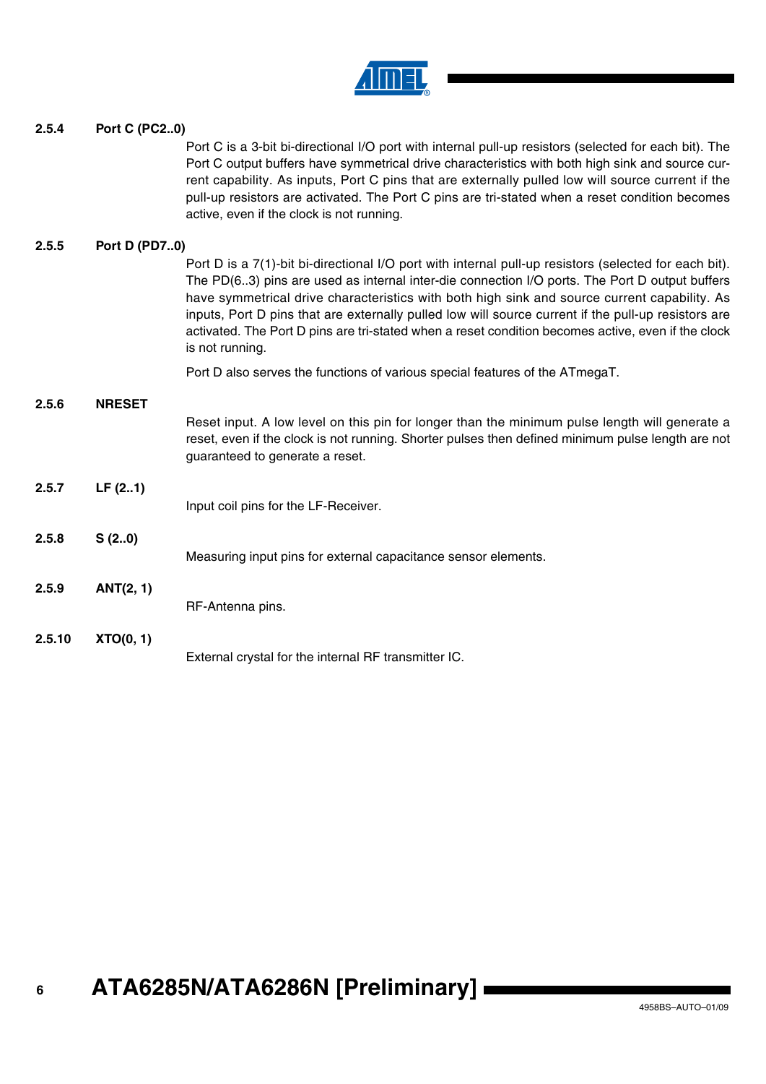

#### **2.5.4 Port C (PC2..0)**

Port C is a 3-bit bi-directional I/O port with internal pull-up resistors (selected for each bit). The Port C output buffers have symmetrical drive characteristics with both high sink and source current capability. As inputs, Port C pins that are externally pulled low will source current if the pull-up resistors are activated. The Port C pins are tri-stated when a reset condition becomes active, even if the clock is not running.

#### **2.5.5 Port D (PD7..0)**

Port D is a 7(1)-bit bi-directional I/O port with internal pull-up resistors (selected for each bit). The PD(6..3) pins are used as internal inter-die connection I/O ports. The Port D output buffers have symmetrical drive characteristics with both high sink and source current capability. As inputs, Port D pins that are externally pulled low will source current if the pull-up resistors are activated. The Port D pins are tri-stated when a reset condition becomes active, even if the clock is not running. Port D also serves the functions of various special features of the ATmegaT. **2.5.6 NRESET** Reset input. A low level on this pin for longer than the minimum pulse length will generate a reset, even if the clock is not running. Shorter pulses then defined minimum pulse length are not guaranteed to generate a reset. **2.5.7 LF (2..1)** Input coil pins for the LF-Receiver. **2.5.8 S (2..0)** Measuring input pins for external capacitance sensor elements. **2.5.9 ANT(2, 1)** RF-Antenna pins. **2.5.10 XTO(0, 1)** External crystal for the internal RF transmitter IC.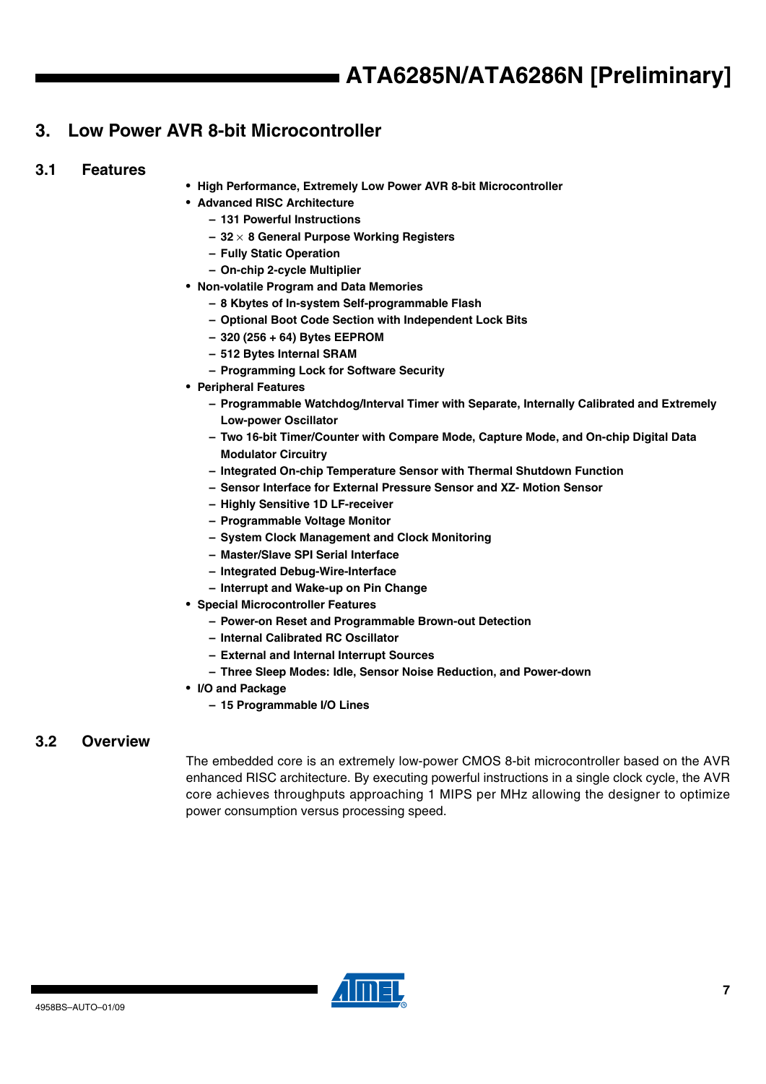### **3. Low Power AVR 8-bit Microcontroller**

#### **3.1 Features**

- **High Performance, Extremely Low Power AVR 8-bit Microcontroller**
- **Advanced RISC Architecture**
	- **131 Powerful Instructions**
	- **32** × **8 General Purpose Working Registers**
	- **Fully Static Operation**
	- **On-chip 2-cycle Multiplier**
- **Non-volatile Program and Data Memories**
	- **8 Kbytes of In-system Self-programmable Flash**
	- **Optional Boot Code Section with Independent Lock Bits**
	- **320 (256 + 64) Bytes EEPROM**
	- **512 Bytes Internal SRAM**
	- **Programming Lock for Software Security**
- **Peripheral Features**
	- **Programmable Watchdog/Interval Timer with Separate, Internally Calibrated and Extremely Low-power Oscillator**
	- **Two 16-bit Timer/Counter with Compare Mode, Capture Mode, and On-chip Digital Data Modulator Circuitry**
	- **Integrated On-chip Temperature Sensor with Thermal Shutdown Function**
	- **Sensor Interface for External Pressure Sensor and XZ- Motion Sensor**
	- **Highly Sensitive 1D LF-receiver**
	- **Programmable Voltage Monitor**
	- **System Clock Management and Clock Monitoring**
	- **Master/Slave SPI Serial Interface**
	- **Integrated Debug-Wire-Interface**
	- **Interrupt and Wake-up on Pin Change**
- **Special Microcontroller Features**
	- **Power-on Reset and Programmable Brown-out Detection**
	- **Internal Calibrated RC Oscillator**
	- **External and Internal Interrupt Sources**
	- **Three Sleep Modes: Idle, Sensor Noise Reduction, and Power-down**
- **I/O and Package**
	- **15 Programmable I/O Lines**

#### **3.2 Overview**

The embedded core is an extremely low-power CMOS 8-bit microcontroller based on the AVR enhanced RISC architecture. By executing powerful instructions in a single clock cycle, the AVR core achieves throughputs approaching 1 MIPS per MHz allowing the designer to optimize power consumption versus processing speed.

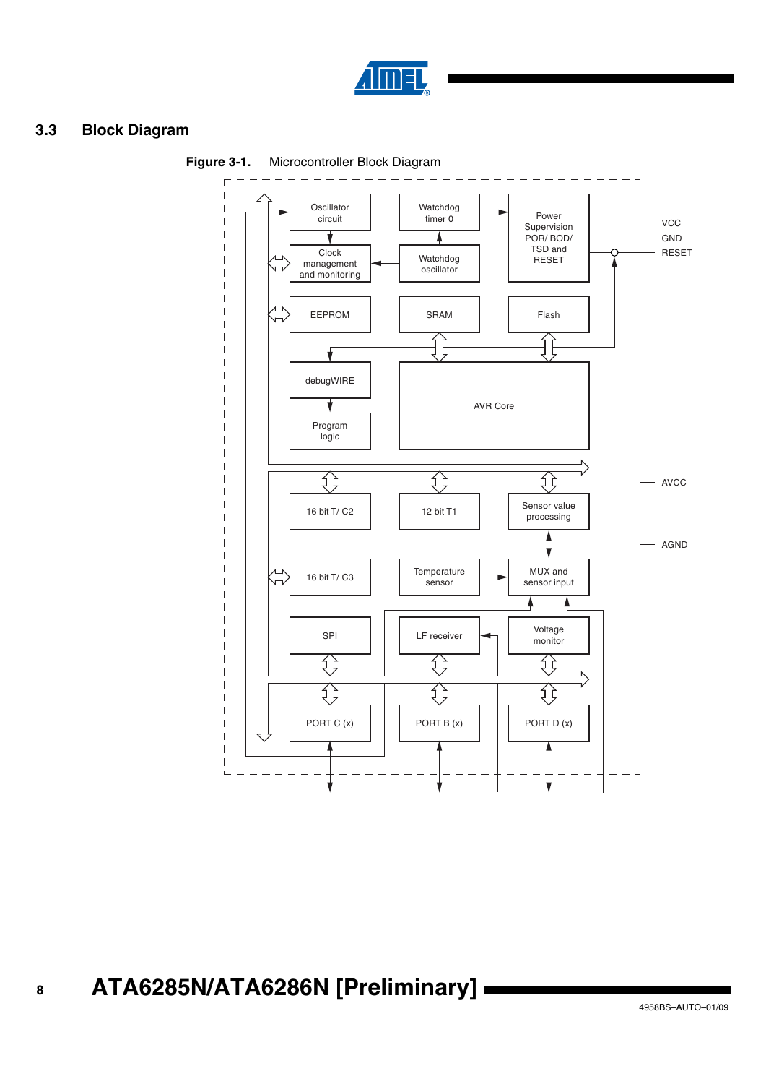

#### **3.3 Block Diagram**



**Figure 3-1.** Microcontroller Block Diagram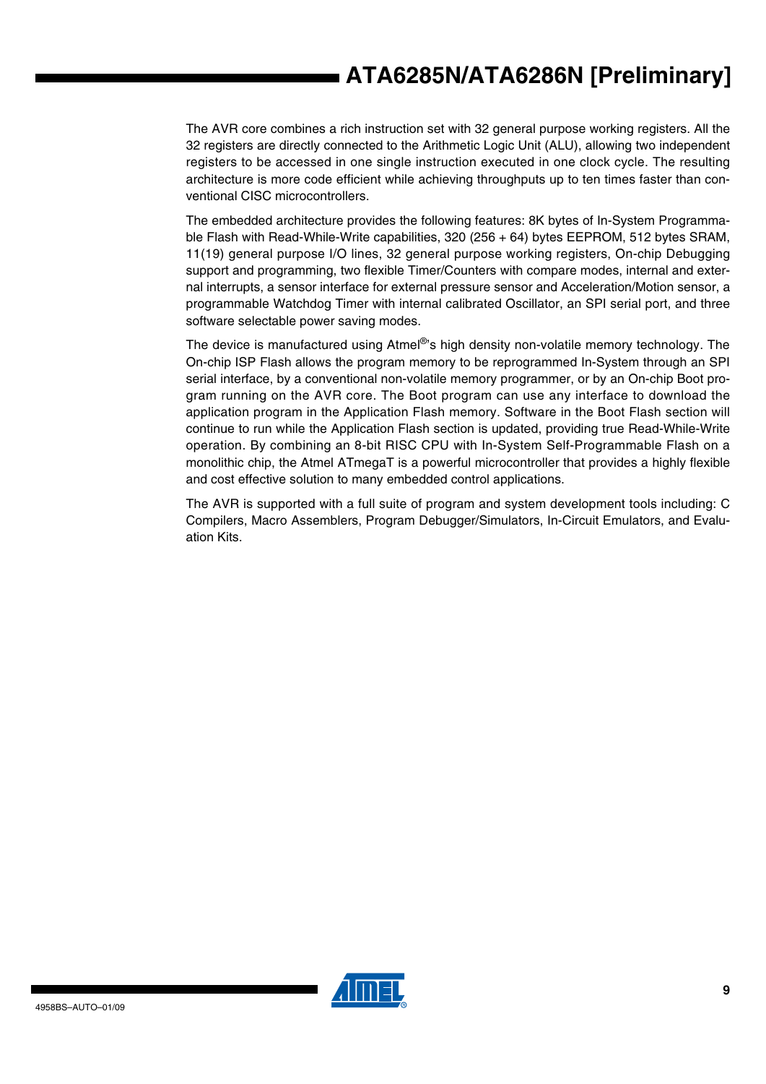The AVR core combines a rich instruction set with 32 general purpose working registers. All the 32 registers are directly connected to the Arithmetic Logic Unit (ALU), allowing two independent registers to be accessed in one single instruction executed in one clock cycle. The resulting architecture is more code efficient while achieving throughputs up to ten times faster than conventional CISC microcontrollers.

The embedded architecture provides the following features: 8K bytes of In-System Programmable Flash with Read-While-Write capabilities, 320 (256 + 64) bytes EEPROM, 512 bytes SRAM, 11(19) general purpose I/O lines, 32 general purpose working registers, On-chip Debugging support and programming, two flexible Timer/Counters with compare modes, internal and external interrupts, a sensor interface for external pressure sensor and Acceleration/Motion sensor, a programmable Watchdog Timer with internal calibrated Oscillator, an SPI serial port, and three software selectable power saving modes.

The device is manufactured using Atmel<sup>®</sup>'s high density non-volatile memory technology. The On-chip ISP Flash allows the program memory to be reprogrammed In-System through an SPI serial interface, by a conventional non-volatile memory programmer, or by an On-chip Boot program running on the AVR core. The Boot program can use any interface to download the application program in the Application Flash memory. Software in the Boot Flash section will continue to run while the Application Flash section is updated, providing true Read-While-Write operation. By combining an 8-bit RISC CPU with In-System Self-Programmable Flash on a monolithic chip, the Atmel ATmegaT is a powerful microcontroller that provides a highly flexible and cost effective solution to many embedded control applications.

The AVR is supported with a full suite of program and system development tools including: C Compilers, Macro Assemblers, Program Debugger/Simulators, In-Circuit Emulators, and Evaluation Kits.

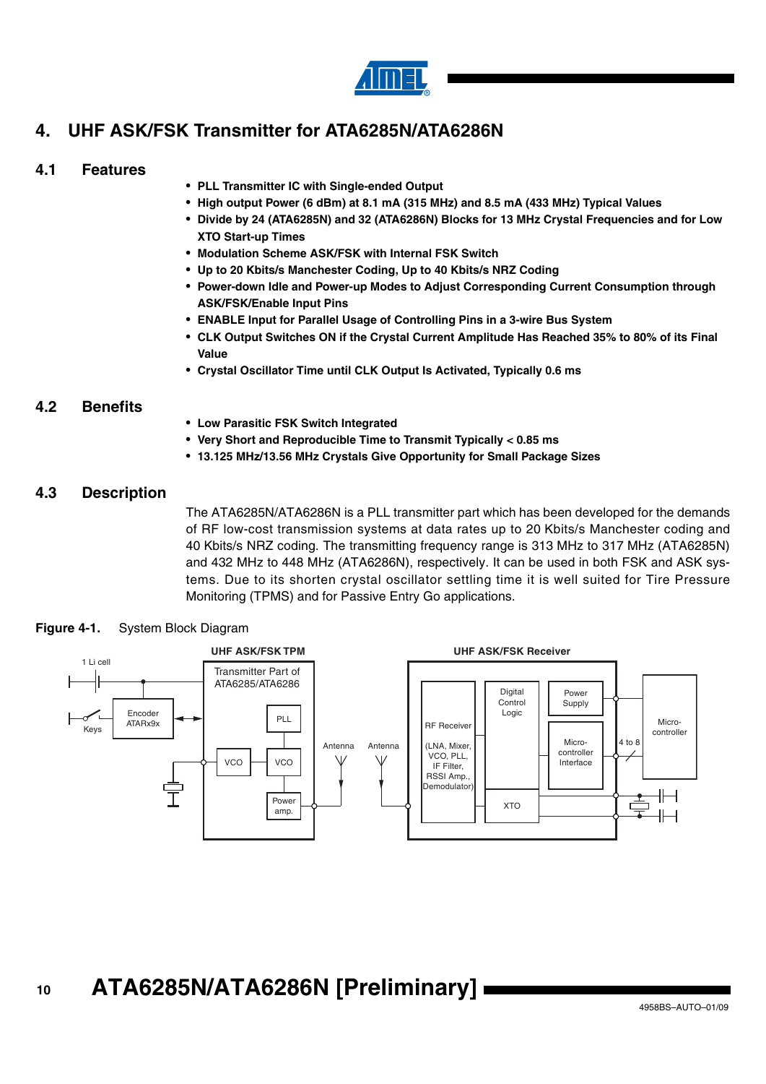

## **4. UHF ASK/FSK Transmitter for ATA6285N/ATA6286N**

#### **4.1 Features**

- **PLL Transmitter IC with Single-ended Output**
- **High output Power (6 dBm) at 8.1 mA (315 MHz) and 8.5 mA (433 MHz) Typical Values**
- **Divide by 24 (ATA6285N) and 32 (ATA6286N) Blocks for 13 MHz Crystal Frequencies and for Low XTO Start-up Times**
- **Modulation Scheme ASK/FSK with Internal FSK Switch**
- **Up to 20 Kbits/s Manchester Coding, Up to 40 Kbits/s NRZ Coding**
- **Power-down Idle and Power-up Modes to Adjust Corresponding Current Consumption through ASK/FSK/Enable Input Pins**
- **ENABLE Input for Parallel Usage of Controlling Pins in a 3-wire Bus System**
- **CLK Output Switches ON if the Crystal Current Amplitude Has Reached 35% to 80% of its Final Value**
- **Crystal Oscillator Time until CLK Output Is Activated, Typically 0.6 ms**

#### **4.2 Benefits**

- **Low Parasitic FSK Switch Integrated**
- **Very Short and Reproducible Time to Transmit Typically < 0.85 ms**
- **13.125 MHz/13.56 MHz Crystals Give Opportunity for Small Package Sizes**

#### **4.3 Description**

The ATA6285N/ATA6286N is a PLL transmitter part which has been developed for the demands of RF low-cost transmission systems at data rates up to 20 Kbits/s Manchester coding and 40 Kbits/s NRZ coding. The transmitting frequency range is 313 MHz to 317 MHz (ATA6285N) and 432 MHz to 448 MHz (ATA6286N), respectively. It can be used in both FSK and ASK systems. Due to its shorten crystal oscillator settling time it is well suited for Tire Pressure Monitoring (TPMS) and for Passive Entry Go applications.

#### **Figure 4-1.** System Block Diagram

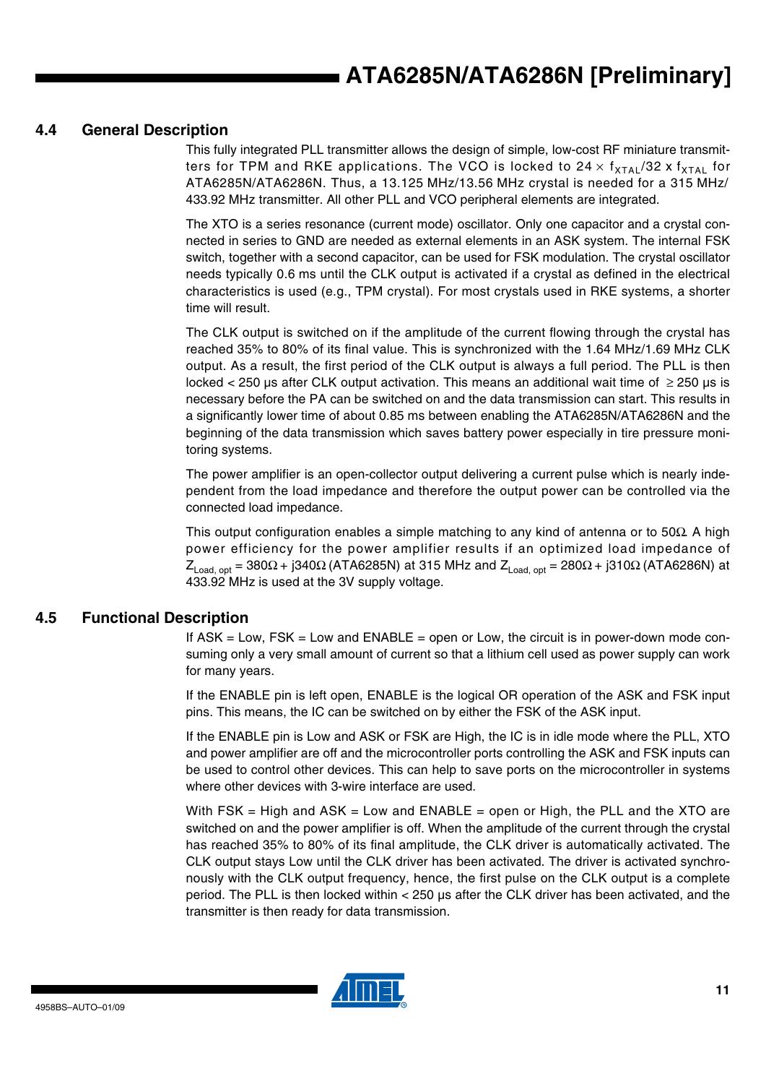#### **4.4 General Description**

This fully integrated PLL transmitter allows the design of simple, low-cost RF miniature transmitters for TPM and RKE applications. The VCO is locked to  $24 \times f_{\text{XTA}}/32 \times f_{\text{XTA}}$  for ATA6285N/ATA6286N. Thus, a 13.125 MHz/13.56 MHz crystal is needed for a 315 MHz/ 433.92 MHz transmitter. All other PLL and VCO peripheral elements are integrated.

The XTO is a series resonance (current mode) oscillator. Only one capacitor and a crystal connected in series to GND are needed as external elements in an ASK system. The internal FSK switch, together with a second capacitor, can be used for FSK modulation. The crystal oscillator needs typically 0.6 ms until the CLK output is activated if a crystal as defined in the electrical characteristics is used (e.g., TPM crystal). For most crystals used in RKE systems, a shorter time will result.

The CLK output is switched on if the amplitude of the current flowing through the crystal has reached 35% to 80% of its final value. This is synchronized with the 1.64 MHz/1.69 MHz CLK output. As a result, the first period of the CLK output is always a full period. The PLL is then locked < 250 µs after CLK output activation. This means an additional wait time of ≥ 250 µs is necessary before the PA can be switched on and the data transmission can start. This results in a significantly lower time of about 0.85 ms between enabling the ATA6285N/ATA6286N and the beginning of the data transmission which saves battery power especially in tire pressure monitoring systems.

The power amplifier is an open-collector output delivering a current pulse which is nearly independent from the load impedance and therefore the output power can be controlled via the connected load impedance.

This output configuration enables a simple matching to any kind of antenna or to 50 $\Omega$ . A high power efficiency for the power amplifier results if an optimized load impedance of  $Z_{\text{Load, opt}} = 380\Omega + j340\Omega$  (ATA6285N) at 315 MHz and  $Z_{\text{Load, opt}} = 280\Omega + j310\Omega$  (ATA6286N) at 433.92 MHz is used at the 3V supply voltage.

#### **4.5 Functional Description**

If  $ASK = Low$ ,  $FSK = Low$  and  $ENABLE = open$  or Low, the circuit is in power-down mode consuming only a very small amount of current so that a lithium cell used as power supply can work for many years.

If the ENABLE pin is left open, ENABLE is the logical OR operation of the ASK and FSK input pins. This means, the IC can be switched on by either the FSK of the ASK input.

If the ENABLE pin is Low and ASK or FSK are High, the IC is in idle mode where the PLL, XTO and power amplifier are off and the microcontroller ports controlling the ASK and FSK inputs can be used to control other devices. This can help to save ports on the microcontroller in systems where other devices with 3-wire interface are used.

With FSK = High and  $ASK = Low$  and  $ENABLE = open$  or High, the PLL and the XTO are switched on and the power amplifier is off. When the amplitude of the current through the crystal has reached 35% to 80% of its final amplitude, the CLK driver is automatically activated. The CLK output stays Low until the CLK driver has been activated. The driver is activated synchronously with the CLK output frequency, hence, the first pulse on the CLK output is a complete period. The PLL is then locked within < 250 µs after the CLK driver has been activated, and the transmitter is then ready for data transmission.

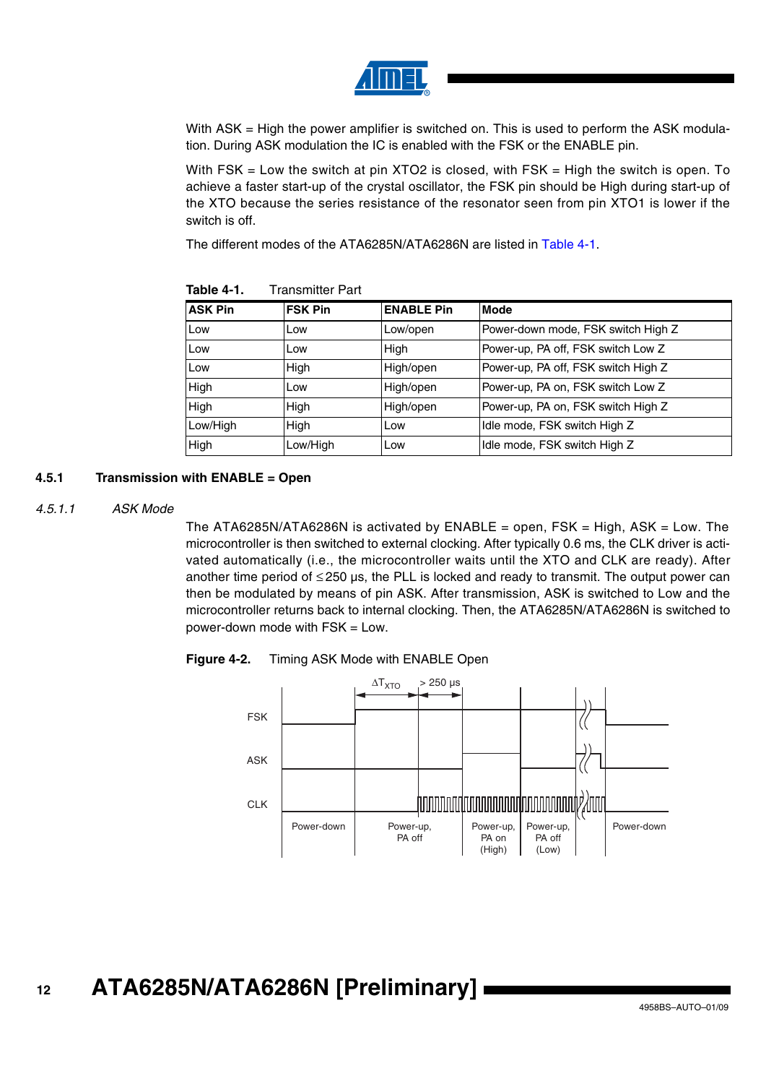

With ASK = High the power amplifier is switched on. This is used to perform the ASK modulation. During ASK modulation the IC is enabled with the FSK or the ENABLE pin.

With FSK  $=$  Low the switch at pin XTO2 is closed, with FSK  $=$  High the switch is open. To achieve a faster start-up of the crystal oscillator, the FSK pin should be High during start-up of the XTO because the series resistance of the resonator seen from pin XTO1 is lower if the switch is off.

The different modes of the ATA6285N/ATA6286N are listed in [Table 4-1.](#page-11-0)

| <b>ASK Pin</b> | <b>FSK Pin</b> | <b>ENABLE Pin</b> | <b>Mode</b>                         |
|----------------|----------------|-------------------|-------------------------------------|
| Low            | Low            | Low/open          | Power-down mode, FSK switch High Z  |
| Low            | Low            | High              | Power-up, PA off, FSK switch Low Z  |
| Low            | High           | High/open         | Power-up, PA off, FSK switch High Z |
| High           | Low            | High/open         | Power-up, PA on, FSK switch Low Z   |
| High           | High           | High/open         | Power-up, PA on, FSK switch High Z  |
| Low/High       | High           | Low               | Idle mode, FSK switch High Z        |
| High           | Low/High       | Low               | Idle mode, FSK switch High Z        |

<span id="page-11-0"></span>**Table 4-1.** Transmitter Part

#### **4.5.1 Transmission with ENABLE = Open**

#### *4.5.1.1 ASK Mode*

The ATA6285N/ATA6286N is activated by  $ENABLE = open$ ,  $FSK = High$ ,  $ASK = Low$ . The microcontroller is then switched to external clocking. After typically 0.6 ms, the CLK driver is activated automatically (i.e., the microcontroller waits until the XTO and CLK are ready). After another time period of ≤ 250 µs, the PLL is locked and ready to transmit. The output power can then be modulated by means of pin ASK. After transmission, ASK is switched to Low and the microcontroller returns back to internal clocking. Then, the ATA6285N/ATA6286N is switched to power-down mode with FSK = Low.



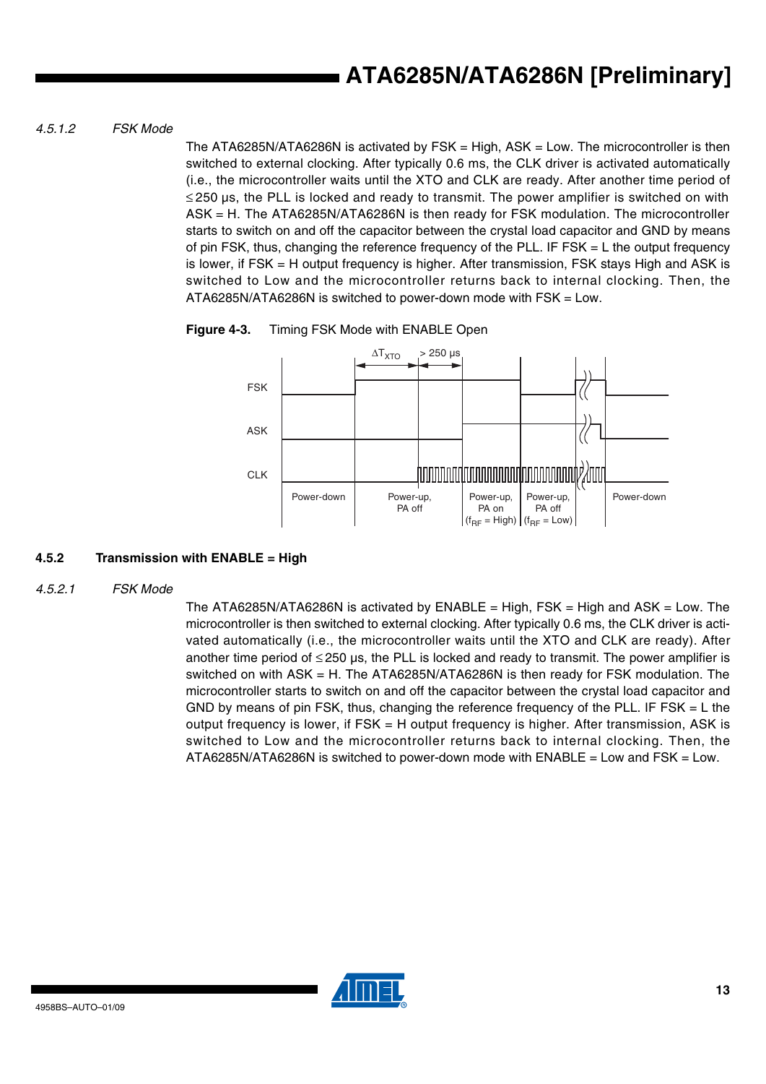#### *4.5.1.2 FSK Mode*

The ATA6285N/ATA6286N is activated by FSK = High, ASK = Low. The microcontroller is then switched to external clocking. After typically 0.6 ms, the CLK driver is activated automatically (i.e., the microcontroller waits until the XTO and CLK are ready. After another time period of ≤ 250 µs, the PLL is locked and ready to transmit. The power amplifier is switched on with ASK = H. The ATA6285N/ATA6286N is then ready for FSK modulation. The microcontroller starts to switch on and off the capacitor between the crystal load capacitor and GND by means of pin FSK, thus, changing the reference frequency of the PLL. IF FSK = L the output frequency is lower, if FSK = H output frequency is higher. After transmission, FSK stays High and ASK is switched to Low and the microcontroller returns back to internal clocking. Then, the ATA6285N/ATA6286N is switched to power-down mode with FSK = Low.

**Figure 4-3.** Timing FSK Mode with ENABLE Open



#### **4.5.2 Transmission with ENABLE = High**

*4.5.2.1 FSK Mode*

The ATA6285N/ATA6286N is activated by  $ENABLE = High$ , FSK = High and ASK = Low. The microcontroller is then switched to external clocking. After typically 0.6 ms, the CLK driver is activated automatically (i.e., the microcontroller waits until the XTO and CLK are ready). After another time period of  $\leq$  250 µs, the PLL is locked and ready to transmit. The power amplifier is switched on with ASK = H. The ATA6285N/ATA6286N is then ready for FSK modulation. The microcontroller starts to switch on and off the capacitor between the crystal load capacitor and GND by means of pin FSK, thus, changing the reference frequency of the PLL. IF FSK  $=$  L the output frequency is lower, if FSK = H output frequency is higher. After transmission, ASK is switched to Low and the microcontroller returns back to internal clocking. Then, the ATA6285N/ATA6286N is switched to power-down mode with ENABLE = Low and FSK = Low.

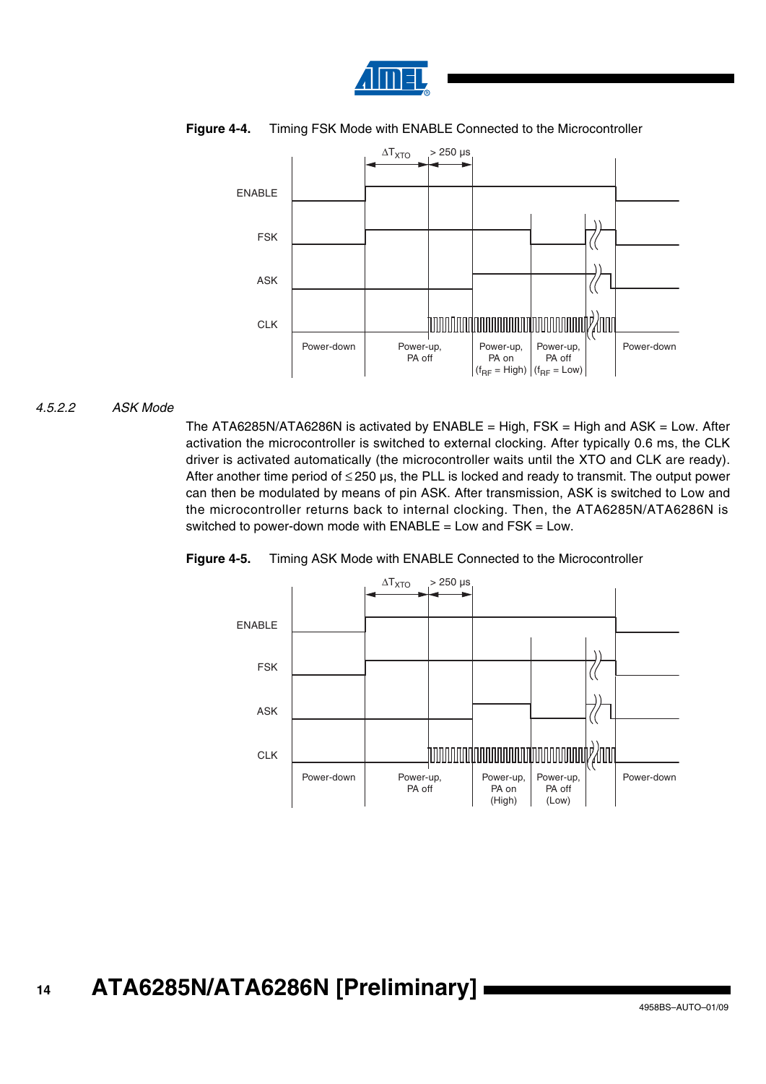



#### **Figure 4-4.** Timing FSK Mode with ENABLE Connected to the Microcontroller

#### *4.5.2.2 ASK Mode*

The ATA6285N/ATA6286N is activated by  $ENABLE = High$ ,  $FSK = High$  and  $ASK = Low$ . After activation the microcontroller is switched to external clocking. After typically 0.6 ms, the CLK driver is activated automatically (the microcontroller waits until the XTO and CLK are ready). After another time period of  $\leq$  250 µs, the PLL is locked and ready to transmit. The output power can then be modulated by means of pin ASK. After transmission, ASK is switched to Low and the microcontroller returns back to internal clocking. Then, the ATA6285N/ATA6286N is switched to power-down mode with  $ENABLE = Low$  and  $FSK = Low$ .



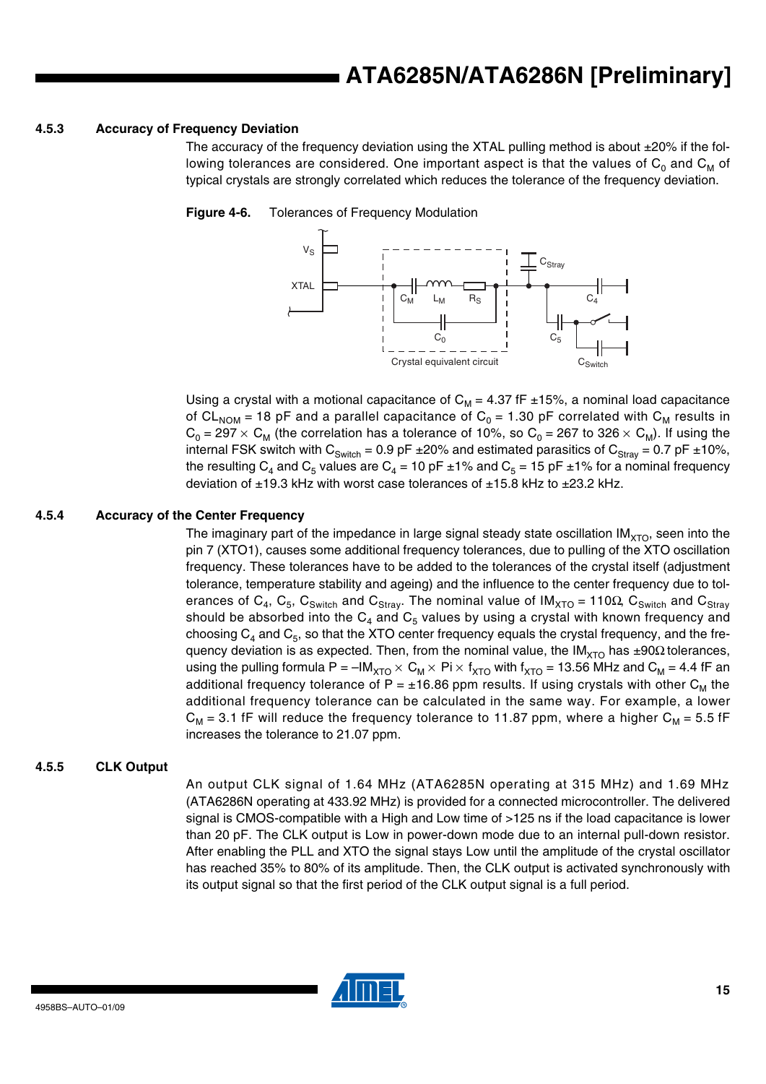#### **4.5.3 Accuracy of Frequency Deviation**

The accuracy of the frequency deviation using the XTAL pulling method is about  $\pm 20\%$  if the following tolerances are considered. One important aspect is that the values of  $C_0$  and  $C_M$  of typical crystals are strongly correlated which reduces the tolerance of the frequency deviation.

#### **Figure 4-6.** Tolerances of Frequency Modulation



Using a crystal with a motional capacitance of  $C_M = 4.37$  fF  $\pm 15\%$ , a nominal load capacitance of CL<sub>NOM</sub> = 18 pF and a parallel capacitance of  $C_0 = 1.30$  pF correlated with C<sub>M</sub> results in  $C_0$  = 297  $\times$  C<sub>M</sub> (the correlation has a tolerance of 10%, so C<sub>0</sub> = 267 to 326  $\times$  C<sub>M</sub>). If using the internal FSK switch with  $C_{\text{Switch}} = 0.9$  pF  $\pm 20\%$  and estimated parasitics of  $C_{\text{Strav}} = 0.7$  pF  $\pm 10\%$ , the resulting C<sub>4</sub> and C<sub>5</sub> values are C<sub>4</sub> = 10 pF ±1% and C<sub>5</sub> = 15 pF ±1% for a nominal frequency deviation of  $\pm$ 19.3 kHz with worst case tolerances of  $\pm$ 15.8 kHz to  $\pm$ 23.2 kHz.

#### **4.5.4 Accuracy of the Center Frequency**

The imaginary part of the impedance in large signal steady state oscillation  $IM<sub>XTO</sub>$ , seen into the pin 7 (XTO1), causes some additional frequency tolerances, due to pulling of the XTO oscillation frequency. These tolerances have to be added to the tolerances of the crystal itself (adjustment tolerance, temperature stability and ageing) and the influence to the center frequency due to tolerances of C<sub>4</sub>, C<sub>5</sub>, C<sub>Switch</sub> and C<sub>Stray</sub>. The nominal value of IM<sub>XTO</sub> = 110 $\Omega$ , C<sub>Switch</sub> and C<sub>Stray</sub> should be absorbed into the  $C_4$  and  $C_5$  values by using a crystal with known frequency and choosing  $C_4$  and  $C_5$ , so that the XTO center frequency equals the crystal frequency, and the frequency deviation is as expected. Then, from the nominal value, the IM<sub>XTO</sub> has ±90 $\Omega$  tolerances, using the pulling formula P =  $-M_{XTO} \times C_M \times Pi \times f_{XTO}$  with  $f_{XTO}$  = 13.56 MHz and  $C_M$  = 4.4 fF an additional frequency tolerance of P =  $\pm$ 16.86 ppm results. If using crystals with other C<sub>M</sub> the additional frequency tolerance can be calculated in the same way. For example, a lower  $C_M$  = 3.1 fF will reduce the frequency tolerance to 11.87 ppm, where a higher  $C_M$  = 5.5 fF increases the tolerance to 21.07 ppm.

#### **4.5.5 CLK Output**

An output CLK signal of 1.64 MHz (ATA6285N operating at 315 MHz) and 1.69 MHz (ATA6286N operating at 433.92 MHz) is provided for a connected microcontroller. The delivered signal is CMOS-compatible with a High and Low time of >125 ns if the load capacitance is lower than 20 pF. The CLK output is Low in power-down mode due to an internal pull-down resistor. After enabling the PLL and XTO the signal stays Low until the amplitude of the crystal oscillator has reached 35% to 80% of its amplitude. Then, the CLK output is activated synchronously with its output signal so that the first period of the CLK output signal is a full period.

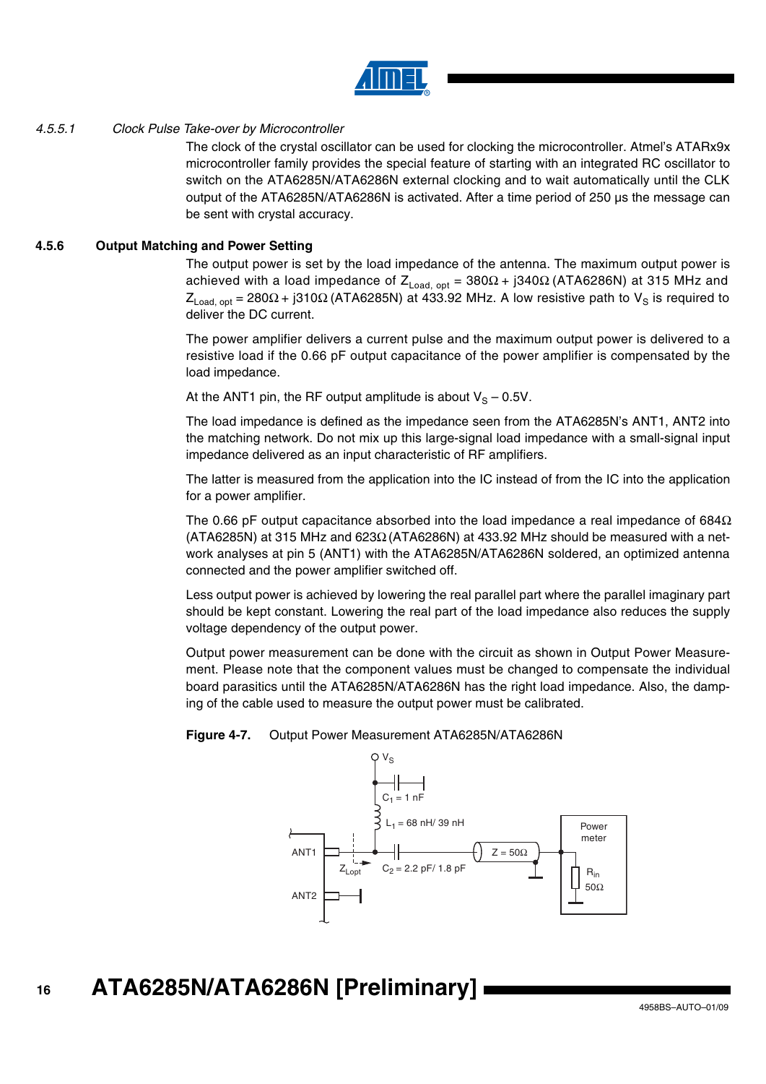

#### *4.5.5.1 Clock Pulse Take-over by Microcontroller*

The clock of the crystal oscillator can be used for clocking the microcontroller. Atmel's ATARx9x microcontroller family provides the special feature of starting with an integrated RC oscillator to switch on the ATA6285N/ATA6286N external clocking and to wait automatically until the CLK output of the ATA6285N/ATA6286N is activated. After a time period of 250 µs the message can be sent with crystal accuracy.

#### **4.5.6 Output Matching and Power Setting**

The output power is set by the load impedance of the antenna. The maximum output power is achieved with a load impedance of  $Z_{Load, opt} = 380Ω + j340Ω (ATA6286N)$  at 315 MHz and  $Z_{\text{Load, opt}}$  = 280Ω + j310Ω (ATA6285N) at 433.92 MHz. A low resistive path to V<sub>S</sub> is required to deliver the DC current.

The power amplifier delivers a current pulse and the maximum output power is delivered to a resistive load if the 0.66 pF output capacitance of the power amplifier is compensated by the load impedance.

At the ANT1 pin, the RF output amplitude is about  $V_S - 0.5V$ .

The load impedance is defined as the impedance seen from the ATA6285N's ANT1, ANT2 into the matching network. Do not mix up this large-signal load impedance with a small-signal input impedance delivered as an input characteristic of RF amplifiers.

The latter is measured from the application into the IC instead of from the IC into the application for a power amplifier.

The 0.66 pF output capacitance absorbed into the load impedance a real impedance of 684 $\Omega$ (ATA6285N) at 315 MHz and 623 $\Omega$  (ATA6286N) at 433.92 MHz should be measured with a network analyses at pin 5 (ANT1) with the ATA6285N/ATA6286N soldered, an optimized antenna connected and the power amplifier switched off.

Less output power is achieved by lowering the real parallel part where the parallel imaginary part should be kept constant. Lowering the real part of the load impedance also reduces the supply voltage dependency of the output power.

Output power measurement can be done with the circuit as shown in Output Power Measurement. Please note that the component values must be changed to compensate the individual board parasitics until the ATA6285N/ATA6286N has the right load impedance. Also, the damping of the cable used to measure the output power must be calibrated.

#### **Figure 4-7.** Output Power Measurement ATA6285N/ATA6286N

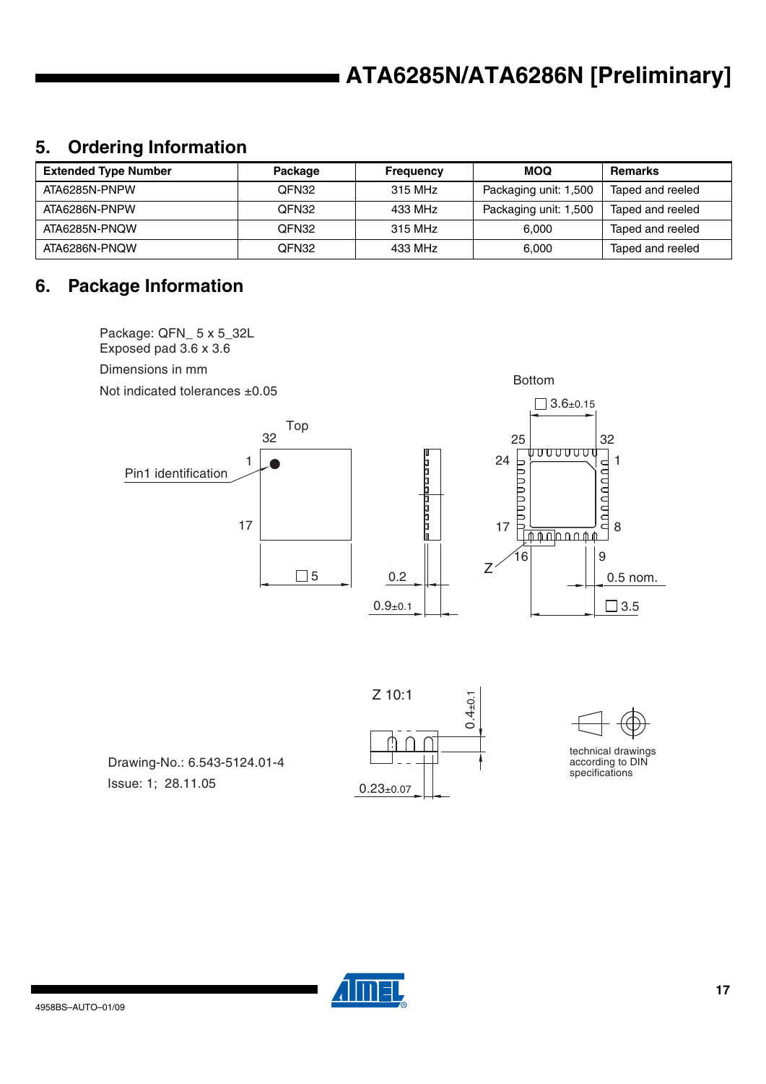# **5. Ordering Information**

| <b>Extended Type Number</b> | Package | <b>Frequency</b> | <b>MOQ</b>            | <b>Remarks</b>   |
|-----------------------------|---------|------------------|-----------------------|------------------|
| ATA6285N-PNPW               | QFN32   | 315 MHz          | Packaging unit: 1,500 | Taped and reeled |
| ATA6286N-PNPW               | QFN32   | 433 MHz          | Packaging unit: 1,500 | Taped and reeled |
| ATA6285N-PNQW               | QFN32   | 315 MHz          | 6.000                 | Taped and reeled |
| ATA6286N-PNQW               | QFN32   | 433 MHz          | 6.000                 | Taped and reeled |

### **6. Package Information**

Package: QFN\_ 5 x 5\_32L Exposed pad 3.6 x 3.6Dimensions in mm Bottom Not indicated tolerances ±0.05  $\Box$  3.6±0.15 Top 32 25 | 32<br><u>| ד</u> טטטטטט 24  $\frac{1}{2}$ 1 1 Pin1 identification 17 17 8  $\sqrt{npnpnpq}$ 16 | 9 Z  $\square$  5 0.2 0.5 nom.  $0.9 + 0.1$  $\Box$  3.5

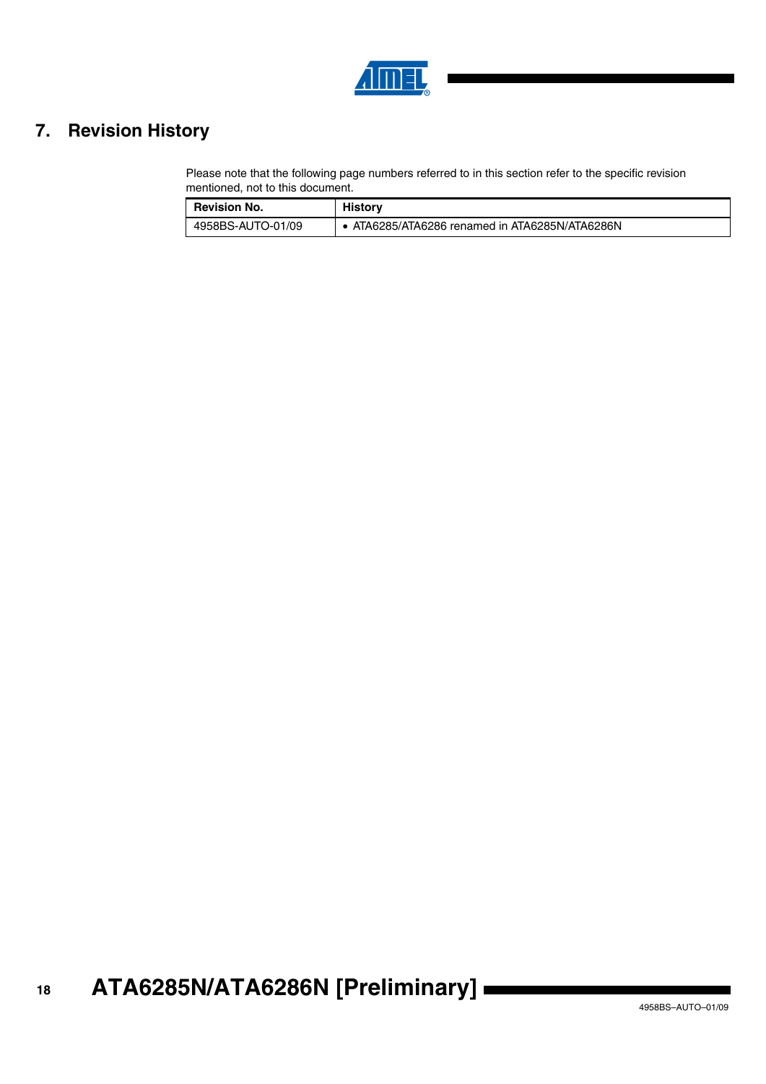

# **7. Revision History**

Please note that the following page numbers referred to in this section refer to the specific revision mentioned, not to this document.

| <b>Revision No.</b> | <b>History</b>                                 |
|---------------------|------------------------------------------------|
| 4958BS-AUTO-01/09   | • ATA6285/ATA6286 renamed in ATA6285N/ATA6286N |